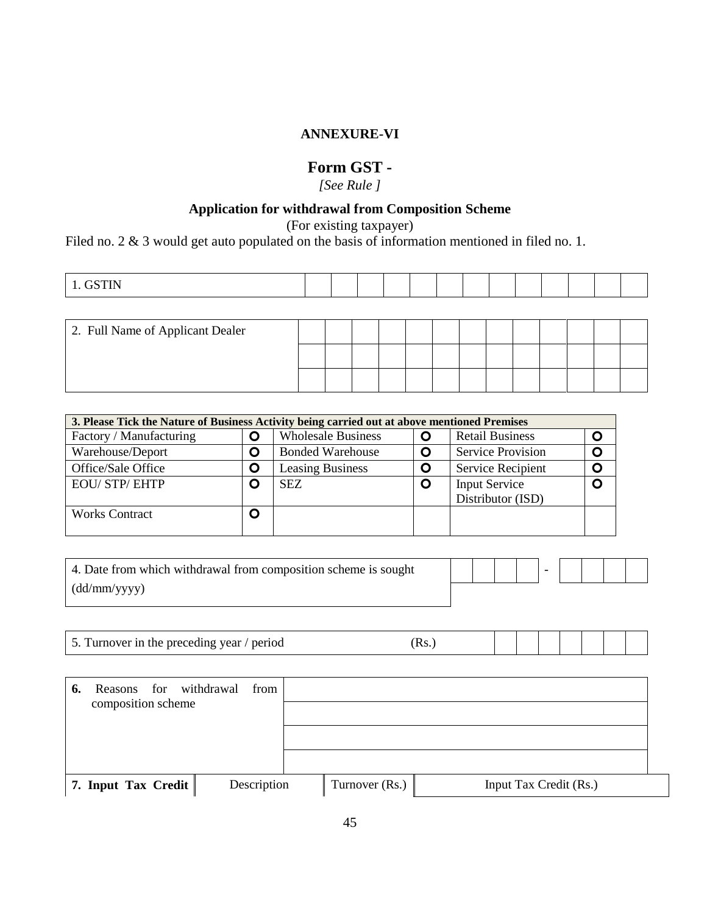## **ANNEXURE-VI**

## **Form GST -**

*[See Rule ]*

## **Application for withdrawal from Composition Scheme**

(For existing taxpayer)

Filed no. 2 & 3 would get auto populated on the basis of information mentioned in filed no. 1.

| <b>GSTIN</b><br>. .<br>$\sim$ |  |  |  |  |  |  |  |  |  |  |  |  |  |
|-------------------------------|--|--|--|--|--|--|--|--|--|--|--|--|--|
|-------------------------------|--|--|--|--|--|--|--|--|--|--|--|--|--|

| 2. Full Name of Applicant Dealer |  |  |  |  |  |  |  |
|----------------------------------|--|--|--|--|--|--|--|
|                                  |  |  |  |  |  |  |  |
|                                  |  |  |  |  |  |  |  |

| 3. Please Tick the Nature of Business Activity being carried out at above mentioned Premises |   |                           |             |                          |   |
|----------------------------------------------------------------------------------------------|---|---------------------------|-------------|--------------------------|---|
| Factory / Manufacturing                                                                      | O | <b>Wholesale Business</b> | O           | <b>Retail Business</b>   | O |
| Warehouse/Deport                                                                             | O | <b>Bonded Warehouse</b>   | O           | <b>Service Provision</b> | O |
| Office/Sale Office                                                                           | O | <b>Leasing Business</b>   | $\mathbf O$ | <b>Service Recipient</b> | O |
| <b>EOU/ STP/ EHTP</b>                                                                        | O | <b>SEZ</b>                | O           | <b>Input Service</b>     | O |
|                                                                                              |   |                           |             | Distributor (ISD)        |   |
| <b>Works Contract</b>                                                                        | O |                           |             |                          |   |
|                                                                                              |   |                           |             |                          |   |

| 4. Date from which withdrawal from composition scheme is sought |  |  |  |  |  |
|-----------------------------------------------------------------|--|--|--|--|--|
| (dd/mm/vyyy)                                                    |  |  |  |  |  |

| Turnover in the preceding year $\ell$ ,<br>period<br>$\overline{\phantom{a}}$ . |  |  |  |  |  |  |  |  |
|---------------------------------------------------------------------------------|--|--|--|--|--|--|--|--|
|---------------------------------------------------------------------------------|--|--|--|--|--|--|--|--|

| Reasons for withdrawal<br>6.<br>composition scheme | from        |                |                        |  |
|----------------------------------------------------|-------------|----------------|------------------------|--|
| 7. Input Tax Credit                                | Description | Turnover (Rs.) | Input Tax Credit (Rs.) |  |